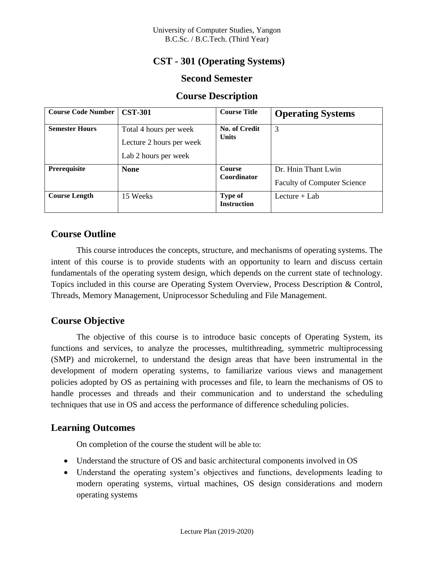## **CST - 301 (Operating Systems)**

### **Second Semester**

#### **Course Description**

| <b>Course Code Number</b> | <b>CST-301</b>                                                             | <b>Course Title</b>           | <b>Operating Systems</b>                                  |
|---------------------------|----------------------------------------------------------------------------|-------------------------------|-----------------------------------------------------------|
| <b>Semester Hours</b>     | Total 4 hours per week<br>Lecture 2 hours per week<br>Lab 2 hours per week | No. of Credit<br><b>Units</b> | 3                                                         |
| Prerequisite              | <b>None</b>                                                                | <b>Course</b><br>Coordinator  | Dr. Hnin Thant Lwin<br><b>Faculty of Computer Science</b> |
| <b>Course Length</b>      | 15 Weeks                                                                   | Type of<br><b>Instruction</b> | Lecture $+$ Lab                                           |

## **Course Outline**

This course introduces the concepts, structure, and mechanisms of operating systems. The intent of this course is to provide students with an opportunity to learn and discuss certain fundamentals of the operating system design, which depends on the current state of technology. Topics included in this course are Operating System Overview, Process Description & Control, Threads, Memory Management, Uniprocessor Scheduling and File Management.

## **Course Objective**

The objective of this course is to introduce basic concepts of Operating System, its functions and services, to analyze the processes, multithreading, symmetric multiprocessing (SMP) and microkernel, to understand the design areas that have been instrumental in the development of modern operating systems, to familiarize various views and management policies adopted by OS as pertaining with processes and file, to learn the mechanisms of OS to handle processes and threads and their communication and to understand the scheduling techniques that use in OS and access the performance of difference scheduling policies.

### **Learning Outcomes**

On completion of the course the student will be able to:

- Understand the structure of OS and basic architectural components involved in OS
- Understand the operating system's objectives and functions, developments leading to modern operating systems, virtual machines, OS design considerations and modern operating systems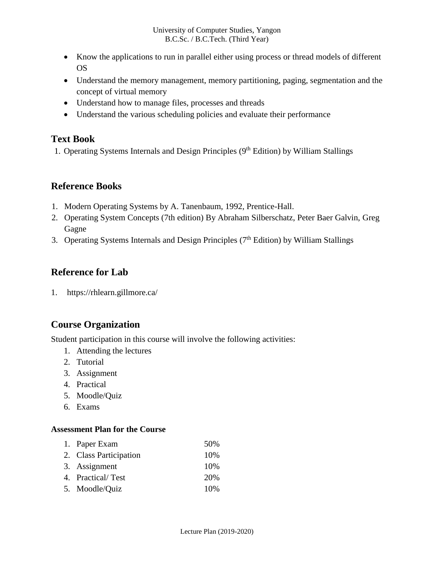- Know the applications to run in parallel either using process or thread models of different OS
- Understand the memory management, memory partitioning, paging, segmentation and the concept of virtual memory
- Understand how to manage files, processes and threads
- Understand the various scheduling policies and evaluate their performance

## **Text Book**

1. Operating Systems Internals and Design Principles (9<sup>th</sup> Edition) by William Stallings

## **Reference Books**

- 1. Modern Operating Systems by A. Tanenbaum, 1992, Prentice-Hall.
- 2. Operating System Concepts (7th edition) By Abraham Silberschatz, Peter Baer Galvin, Greg Gagne
- 3. Operating Systems Internals and Design Principles (7<sup>th</sup> Edition) by William Stallings

# **Reference for Lab**

1. https://rhlearn.gillmore.ca/

# **Course Organization**

Student participation in this course will involve the following activities:

- 1. Attending the lectures
- 2. Tutorial
- 3. Assignment
- 4. Practical
- 5. Moodle/Quiz
- 6. Exams

### **Assessment Plan for the Course**

|        | 1. Paper Exam          | 50%  |
|--------|------------------------|------|
|        | 2. Class Participation | 10\% |
| $\sim$ |                        |      |

- 3. Assignment 10%
- 4. Practical/ Test 20%
- 5. Moodle/Quiz 10%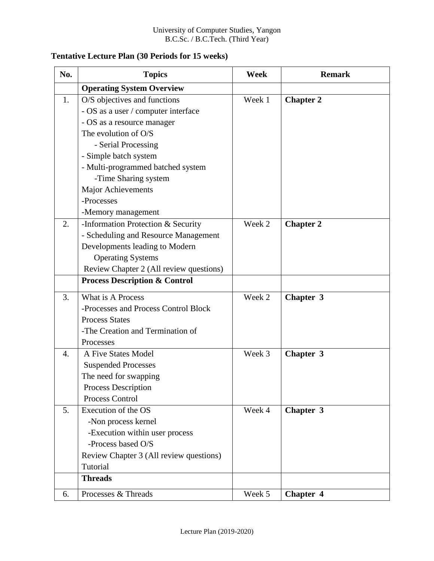## **Tentative Lecture Plan (30 Periods for 15 weeks)**

| No. | <b>Topics</b>                            | <b>Week</b> | <b>Remark</b>    |
|-----|------------------------------------------|-------------|------------------|
|     | <b>Operating System Overview</b>         |             |                  |
| 1.  | O/S objectives and functions             | Week 1      | <b>Chapter 2</b> |
|     | - OS as a user / computer interface      |             |                  |
|     | - OS as a resource manager               |             |                  |
|     | The evolution of O/S                     |             |                  |
|     | - Serial Processing                      |             |                  |
|     | - Simple batch system                    |             |                  |
|     | - Multi-programmed batched system        |             |                  |
|     | -Time Sharing system                     |             |                  |
|     | <b>Major Achievements</b>                |             |                  |
|     | -Processes                               |             |                  |
|     | -Memory management                       |             |                  |
| 2.  | -Information Protection & Security       | Week 2      | <b>Chapter 2</b> |
|     | - Scheduling and Resource Management     |             |                  |
|     | Developments leading to Modern           |             |                  |
|     | <b>Operating Systems</b>                 |             |                  |
|     | Review Chapter 2 (All review questions)  |             |                  |
|     | <b>Process Description &amp; Control</b> |             |                  |
| 3.  | What is A Process                        | Week 2      | Chapter 3        |
|     | -Processes and Process Control Block     |             |                  |
|     | <b>Process States</b>                    |             |                  |
|     | -The Creation and Termination of         |             |                  |
|     | Processes                                |             |                  |
| 4.  | A Five States Model                      | Week 3      | Chapter 3        |
|     | <b>Suspended Processes</b>               |             |                  |
|     | The need for swapping                    |             |                  |
|     | <b>Process Description</b>               |             |                  |
|     | Process Control                          |             |                  |
| 5.  | Execution of the OS                      | Week 4      | Chapter 3        |
|     | -Non process kernel                      |             |                  |
|     | -Execution within user process           |             |                  |
|     | -Process based O/S                       |             |                  |
|     | Review Chapter 3 (All review questions)  |             |                  |
|     | Tutorial                                 |             |                  |
|     | <b>Threads</b>                           |             |                  |
| 6.  | Processes & Threads                      | Week 5      | Chapter 4        |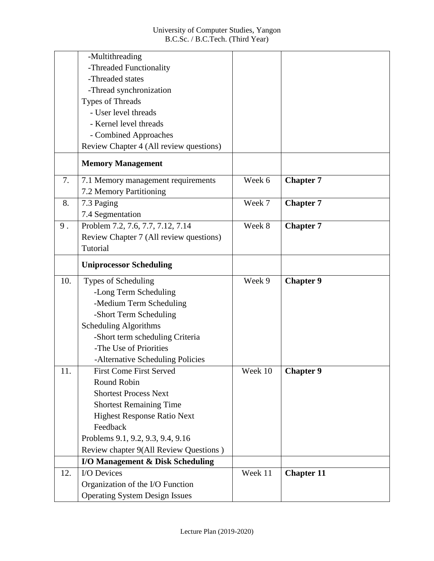|     | -Multithreading                         |         |                   |
|-----|-----------------------------------------|---------|-------------------|
|     | -Threaded Functionality                 |         |                   |
|     | -Threaded states                        |         |                   |
|     | -Thread synchronization                 |         |                   |
|     | <b>Types of Threads</b>                 |         |                   |
|     | - User level threads                    |         |                   |
|     | - Kernel level threads                  |         |                   |
|     | - Combined Approaches                   |         |                   |
|     | Review Chapter 4 (All review questions) |         |                   |
|     | <b>Memory Management</b>                |         |                   |
| 7.  | 7.1 Memory management requirements      | Week 6  | <b>Chapter 7</b>  |
|     | 7.2 Memory Partitioning                 |         |                   |
| 8.  | 7.3 Paging                              | Week 7  | <b>Chapter 7</b>  |
|     | 7.4 Segmentation                        |         |                   |
| 9.  | Problem 7.2, 7.6, 7.7, 7.12, 7.14       | Week 8  | <b>Chapter 7</b>  |
|     | Review Chapter 7 (All review questions) |         |                   |
|     | Tutorial                                |         |                   |
|     | <b>Uniprocessor Scheduling</b>          |         |                   |
| 10. | Types of Scheduling                     | Week 9  | <b>Chapter 9</b>  |
|     | -Long Term Scheduling                   |         |                   |
|     | -Medium Term Scheduling                 |         |                   |
|     | -Short Term Scheduling                  |         |                   |
|     | Scheduling Algorithms                   |         |                   |
|     | -Short term scheduling Criteria         |         |                   |
|     | -The Use of Priorities                  |         |                   |
|     | -Alternative Scheduling Policies        |         |                   |
| 11. | <b>First Come First Served</b>          | Week 10 | <b>Chapter 9</b>  |
|     | <b>Round Robin</b>                      |         |                   |
|     |                                         |         |                   |
|     | <b>Shortest Process Next</b>            |         |                   |
|     | <b>Shortest Remaining Time</b>          |         |                   |
|     | <b>Highest Response Ratio Next</b>      |         |                   |
|     | Feedback                                |         |                   |
|     | Problems 9.1, 9.2, 9.3, 9.4, 9.16       |         |                   |
|     | Review chapter 9(All Review Questions)  |         |                   |
|     | I/O Management & Disk Scheduling        |         |                   |
| 12. | I/O Devices                             | Week 11 | <b>Chapter 11</b> |
|     | Organization of the I/O Function        |         |                   |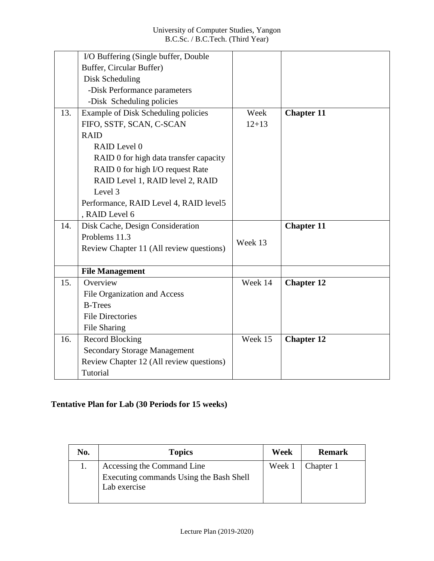|     | I/O Buffering (Single buffer, Double     |           |                   |
|-----|------------------------------------------|-----------|-------------------|
|     | Buffer, Circular Buffer)                 |           |                   |
|     | Disk Scheduling                          |           |                   |
|     | -Disk Performance parameters             |           |                   |
|     | -Disk Scheduling policies                |           |                   |
| 13. | Example of Disk Scheduling policies      | Week      | <b>Chapter 11</b> |
|     | FIFO, SSTF, SCAN, C-SCAN                 | $12 + 13$ |                   |
|     | <b>RAID</b>                              |           |                   |
|     | RAID Level 0                             |           |                   |
|     | RAID 0 for high data transfer capacity   |           |                   |
|     | RAID 0 for high I/O request Rate         |           |                   |
|     | RAID Level 1, RAID level 2, RAID         |           |                   |
|     | Level 3                                  |           |                   |
|     | Performance, RAID Level 4, RAID level 5  |           |                   |
|     | , RAID Level 6                           |           |                   |
| 14. | Disk Cache, Design Consideration         |           | <b>Chapter 11</b> |
|     | Problems 11.3                            | Week 13   |                   |
|     | Review Chapter 11 (All review questions) |           |                   |
|     |                                          |           |                   |
|     | <b>File Management</b>                   |           |                   |
| 15. | Overview                                 | Week 14   | <b>Chapter 12</b> |
|     | File Organization and Access             |           |                   |
|     | <b>B-Trees</b>                           |           |                   |
|     | <b>File Directories</b>                  |           |                   |
|     | File Sharing                             |           |                   |
| 16. | <b>Record Blocking</b>                   | Week 15   | <b>Chapter 12</b> |
|     | <b>Secondary Storage Management</b>      |           |                   |
|     | Review Chapter 12 (All review questions) |           |                   |
|     | Tutorial                                 |           |                   |

## **Tentative Plan for Lab (30 Periods for 15 weeks)**

| No. | <b>Topics</b>                                           | Week   | <b>Remark</b> |
|-----|---------------------------------------------------------|--------|---------------|
|     | Accessing the Command Line                              | Week 1 | Chapter 1     |
|     | Executing commands Using the Bash Shell<br>Lab exercise |        |               |